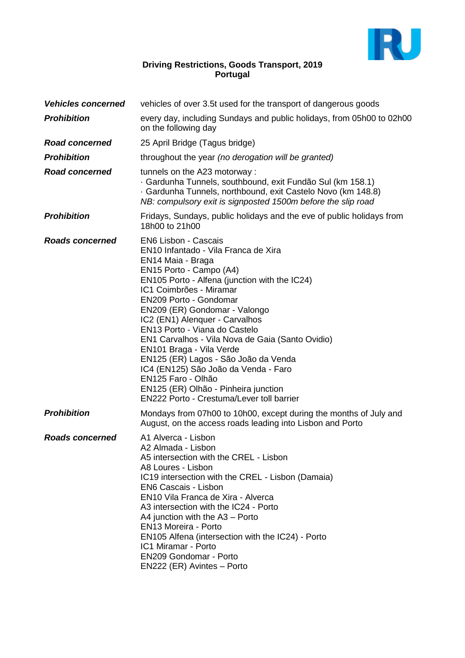

# **Driving Restrictions, Goods Transport, 2019 Portugal**

| <b>Vehicles concerned</b> | vehicles of over 3.5t used for the transport of dangerous goods                                                                                                                                                                                                                                                                                                                                                                                                                                                                                                                                   |  |
|---------------------------|---------------------------------------------------------------------------------------------------------------------------------------------------------------------------------------------------------------------------------------------------------------------------------------------------------------------------------------------------------------------------------------------------------------------------------------------------------------------------------------------------------------------------------------------------------------------------------------------------|--|
| <b>Prohibition</b>        | every day, including Sundays and public holidays, from 05h00 to 02h00<br>on the following day                                                                                                                                                                                                                                                                                                                                                                                                                                                                                                     |  |
| <b>Road concerned</b>     | 25 April Bridge (Tagus bridge)                                                                                                                                                                                                                                                                                                                                                                                                                                                                                                                                                                    |  |
| <b>Prohibition</b>        | throughout the year (no derogation will be granted)                                                                                                                                                                                                                                                                                                                                                                                                                                                                                                                                               |  |
| <b>Road concerned</b>     | tunnels on the A23 motorway :<br>· Gardunha Tunnels, southbound, exit Fundão Sul (km 158.1)<br>Gardunha Tunnels, northbound, exit Castelo Novo (km 148.8)<br>NB: compulsory exit is signposted 1500m before the slip road                                                                                                                                                                                                                                                                                                                                                                         |  |
| <b>Prohibition</b>        | Fridays, Sundays, public holidays and the eve of public holidays from<br>18h00 to 21h00                                                                                                                                                                                                                                                                                                                                                                                                                                                                                                           |  |
| <b>Roads concerned</b>    | EN6 Lisbon - Cascais<br>EN10 Infantado - Vila Franca de Xira<br>EN14 Maia - Braga<br>EN15 Porto - Campo (A4)<br>EN105 Porto - Alfena (junction with the IC24)<br>IC1 Coimbrões - Miramar<br>EN209 Porto - Gondomar<br>EN209 (ER) Gondomar - Valongo<br>IC2 (EN1) Alenquer - Carvalhos<br>EN13 Porto - Viana do Castelo<br>EN1 Carvalhos - Vila Nova de Gaia (Santo Ovidio)<br>EN101 Braga - Vila Verde<br>EN125 (ER) Lagos - São João da Venda<br>IC4 (EN125) São João da Venda - Faro<br>EN125 Faro - Olhão<br>EN125 (ER) Olhão - Pinheira junction<br>EN222 Porto - Crestuma/Lever toll barrier |  |
| <b>Prohibition</b>        | Mondays from 07h00 to 10h00, except during the months of July and<br>August, on the access roads leading into Lisbon and Porto                                                                                                                                                                                                                                                                                                                                                                                                                                                                    |  |
| <b>Roads concerned</b>    | A1 Alverca - Lisbon<br>A2 Almada - Lisbon<br>A5 intersection with the CREL - Lisbon<br>A8 Loures - Lisbon<br>IC19 intersection with the CREL - Lisbon (Damaia)<br>EN6 Cascais - Lisbon<br>EN10 Vila Franca de Xira - Alverca<br>A3 intersection with the IC24 - Porto<br>A4 junction with the $A3 -$ Porto<br>EN13 Moreira - Porto<br>EN105 Alfena (intersection with the IC24) - Porto<br>IC1 Miramar - Porto<br><b>EN209 Gondomar - Porto</b><br>EN222 (ER) Avintes - Porto                                                                                                                     |  |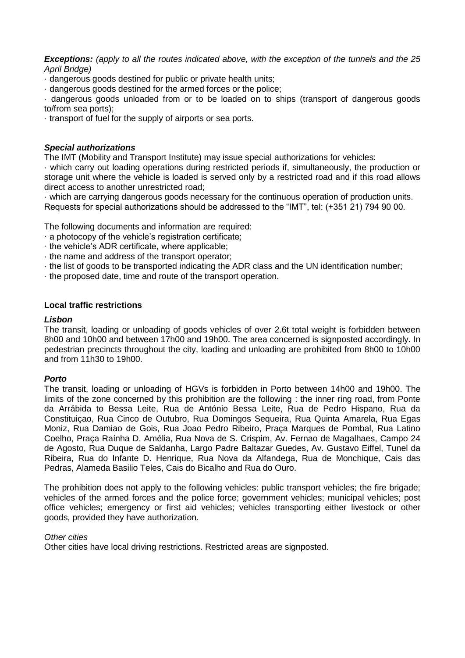*Exceptions: (apply to all the routes indicated above, with the exception of the tunnels and the 25 April Bridge)*

· dangerous goods destined for public or private health units;

· dangerous goods destined for the armed forces or the police;

· dangerous goods unloaded from or to be loaded on to ships (transport of dangerous goods to/from sea ports);

· transport of fuel for the supply of airports or sea ports.

# *Special authorizations*

The IMT (Mobility and Transport Institute) may issue special authorizations for vehicles:

· which carry out loading operations during restricted periods if, simultaneously, the production or storage unit where the vehicle is loaded is served only by a restricted road and if this road allows direct access to another unrestricted road;

· which are carrying dangerous goods necessary for the continuous operation of production units. Requests for special authorizations should be addressed to the "IMT", tel: (+351 21) 794 90 00.

The following documents and information are required:

- · a photocopy of the vehicle's registration certificate;
- · the vehicle's ADR certificate, where applicable;
- · the name and address of the transport operator;
- · the list of goods to be transported indicating the ADR class and the UN identification number;
- · the proposed date, time and route of the transport operation.

### **Local traffic restrictions**

#### *Lisbon*

The transit, loading or unloading of goods vehicles of over 2.6t total weight is forbidden between 8h00 and 10h00 and between 17h00 and 19h00. The area concerned is signposted accordingly. In pedestrian precincts throughout the city, loading and unloading are prohibited from 8h00 to 10h00 and from 11h30 to 19h00.

#### *Porto*

The transit, loading or unloading of HGVs is forbidden in Porto between 14h00 and 19h00. The limits of the zone concerned by this prohibition are the following : the inner ring road, from Ponte da Arrábida to Bessa Leite, Rua de António Bessa Leite, Rua de Pedro Hispano, Rua da Constituiçao, Rua Cinco de Outubro, Rua Domingos Sequeira, Rua Quinta Amarela, Rua Egas Moniz, Rua Damiao de Gois, Rua Joao Pedro Ribeiro, Praça Marques de Pombal, Rua Latino Coelho, Praça Raínha D. Amélia, Rua Nova de S. Crispim, Av. Fernao de Magalhaes, Campo 24 de Agosto, Rua Duque de Saldanha, Largo Padre Baltazar Guedes, Av. Gustavo Eiffel, Tunel da Ribeira, Rua do Infante D. Henrique, Rua Nova da Alfandega, Rua de Monchique, Cais das Pedras, Alameda Basilio Teles, Cais do Bicalho and Rua do Ouro.

The prohibition does not apply to the following vehicles: public transport vehicles; the fire brigade; vehicles of the armed forces and the police force; government vehicles; municipal vehicles; post office vehicles; emergency or first aid vehicles; vehicles transporting either livestock or other goods, provided they have authorization.

#### *Other cities*

Other cities have local driving restrictions. Restricted areas are signposted.